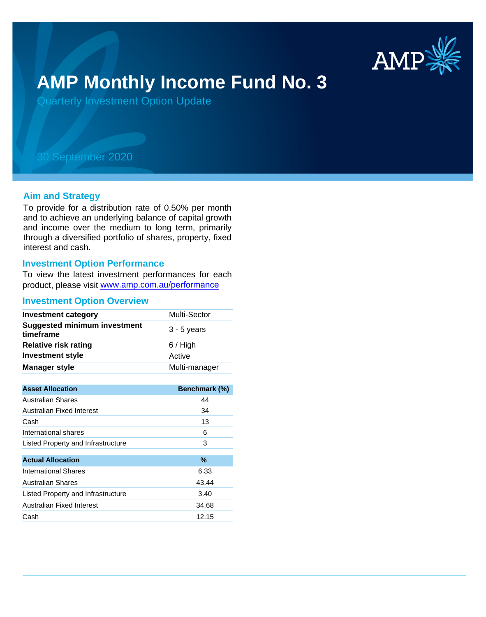

# **AMP Monthly Income Fund No. 3**

Quarterly Investment Option Update

## 30 September 2020

#### **Aim and Strategy**

To provide for a distribution rate of 0.50% per month and to achieve an underlying balance of capital growth and income over the medium to long term, primarily through a diversified portfolio of shares, property, fixed interest and cash.

#### **Investment Option Performance**

To view the latest investment performances for each product, please visit www.amp.com.au/performance

#### **Investment Option Overview**

| <b>Investment category</b>                       | Multi-Sector  |
|--------------------------------------------------|---------------|
| <b>Suggested minimum investment</b><br>timeframe | $3 - 5$ years |
| <b>Relative risk rating</b>                      | $6/$ High     |
| <b>Investment style</b>                          | Active        |
| <b>Manager style</b>                             | Multi-manager |

| <b>Asset Allocation</b>            | Benchmark (%) |
|------------------------------------|---------------|
| <b>Australian Shares</b>           | 44            |
| Australian Fixed Interest          | 34            |
| Cash                               | 13            |
| International shares               | 6             |
| Listed Property and Infrastructure | 3             |
|                                    |               |
| <b>Actual Allocation</b>           | $\%$          |
| <b>International Shares</b>        | 6.33          |
| <b>Australian Shares</b>           | 43.44         |
| Listed Property and Infrastructure | 3.40          |
| Australian Fixed Interest          | 34.68         |
| Cash                               | 12.15         |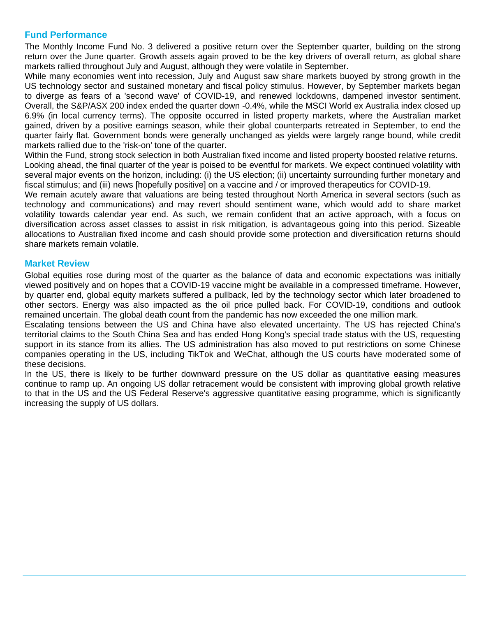### **Fund Performance**

The Monthly Income Fund No. 3 delivered a positive return over the September quarter, building on the strong return over the June quarter. Growth assets again proved to be the key drivers of overall return, as global share markets rallied throughout July and August, although they were volatile in September.

While many economies went into recession, July and August saw share markets buoyed by strong growth in the US technology sector and sustained monetary and fiscal policy stimulus. However, by September markets began to diverge as fears of a 'second wave' of COVID-19, and renewed lockdowns, dampened investor sentiment. Overall, the S&P/ASX 200 index ended the quarter down -0.4%, while the MSCI World ex Australia index closed up 6.9% (in local currency terms). The opposite occurred in listed property markets, where the Australian market gained, driven by a positive earnings season, while their global counterparts retreated in September, to end the quarter fairly flat. Government bonds were generally unchanged as yields were largely range bound, while credit markets rallied due to the 'risk-on' tone of the quarter.

Within the Fund, strong stock selection in both Australian fixed income and listed property boosted relative returns. Looking ahead, the final quarter of the year is poised to be eventful for markets. We expect continued volatility with several major events on the horizon, including: (i) the US election; (ii) uncertainty surrounding further monetary and fiscal stimulus; and (iii) news [hopefully positive] on a vaccine and / or improved therapeutics for COVID-19.

We remain acutely aware that valuations are being tested throughout North America in several sectors (such as technology and communications) and may revert should sentiment wane, which would add to share market volatility towards calendar year end. As such, we remain confident that an active approach, with a focus on diversification across asset classes to assist in risk mitigation, is advantageous going into this period. Sizeable allocations to Australian fixed income and cash should provide some protection and diversification returns should share markets remain volatile.

#### **Market Review**

Global equities rose during most of the quarter as the balance of data and economic expectations was initially viewed positively and on hopes that a COVID-19 vaccine might be available in a compressed timeframe. However, by quarter end, global equity markets suffered a pullback, led by the technology sector which later broadened to other sectors. Energy was also impacted as the oil price pulled back. For COVID-19, conditions and outlook remained uncertain. The global death count from the pandemic has now exceeded the one million mark.

Escalating tensions between the US and China have also elevated uncertainty. The US has rejected China's territorial claims to the South China Sea and has ended Hong Kong's special trade status with the US, requesting support in its stance from its allies. The US administration has also moved to put restrictions on some Chinese companies operating in the US, including TikTok and WeChat, although the US courts have moderated some of these decisions.

In the US, there is likely to be further downward pressure on the US dollar as quantitative easing measures continue to ramp up. An ongoing US dollar retracement would be consistent with improving global growth relative to that in the US and the US Federal Reserve's aggressive quantitative easing programme, which is significantly increasing the supply of US dollars.